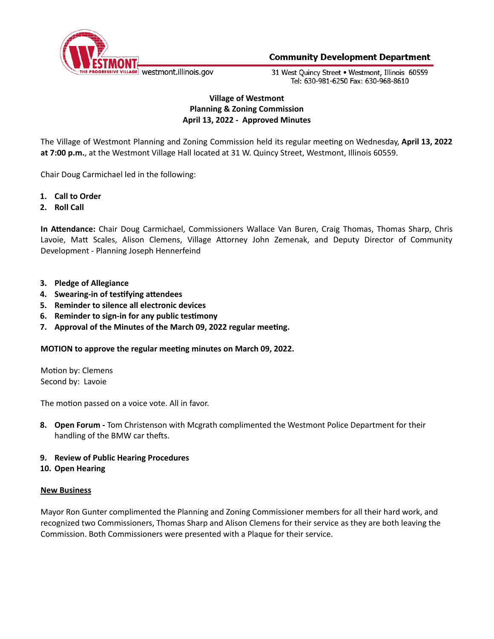

31 West Ouincy Street . Westmont, Illinois 60559 Tel: 630-981-6250 Fax: 630-968-8610

# **Village of Westmont Planning & Zoning Commission April 13, 2022 - Approved Minutes**

The Village of Westmont Planning and Zoning Commission held its regular meeting on Wednesday, April 13, 2022 **at 7:00 p.m.**, at the Westmont Village Hall located at 31 W. Quincy Street, Westmont, Illinois 60559.

Chair Doug Carmichael led in the following:

- **1. Call to Order**
- **2. Roll Call**

In Attendance: Chair Doug Carmichael, Commissioners Wallace Van Buren, Craig Thomas, Thomas Sharp, Chris Lavoie, Matt Scales, Alison Clemens, Village Attorney John Zemenak, and Deputy Director of Community Development - Planning Joseph Hennerfeind

- **3. Pledge of Allegiance**
- **4.** Swearing-in of testifying attendees
- **5. Reminder to silence all electronic devices**
- **6. Reminder to sign-in for any public tesmony**
- **7. Approval of the Minutes of the March 09, 2022 regular meeng.**

## **MOTION to approve the regular meeng minutes on March 09, 2022.**

Motion by: Clemens Second by: Lavoie

The motion passed on a voice vote. All in favor.

**8. Open Forum -** Tom Christenson with Mcgrath complimented the Westmont Police Department for their handling of the BMW car thefts.

## **9. Review of Public Hearing Procedures**

## **10. Open Hearing**

#### **New Business**

Mayor Ron Gunter complimented the Planning and Zoning Commissioner members for all their hard work, and recognized two Commissioners, Thomas Sharp and Alison Clemens for their service as they are both leaving the Commission. Both Commissioners were presented with a Plaque for their service.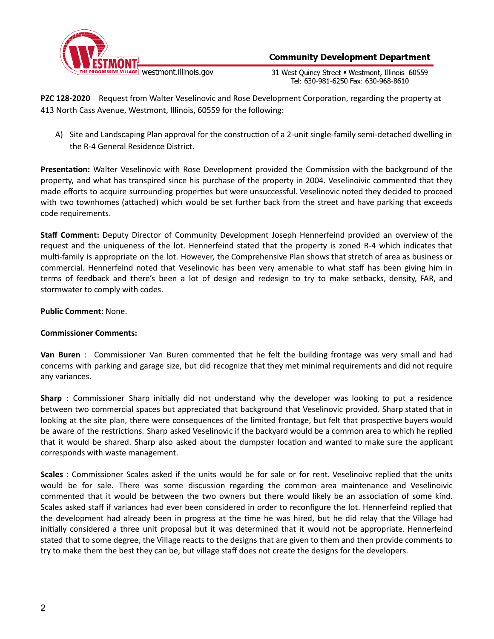

31 West Quincy Street . Westmont, Illinois 60559 Tel: 630-981-6250 Fax: 630-968-8610

**PZC 128-2020** Request from Walter Veselinovic and Rose Development Corporation, regarding the property at 413 North Cass Avenue, Westmont, Illinois, 60559 for the following:

A) Site and Landscaping Plan approval for the construction of a 2-unit single-family semi-detached dwelling in the R-4 General Residence District.

Presentation: Walter Veselinovic with Rose Development provided the Commission with the background of the property, and what has transpired since his purchase of the property in 2004. Veselinoivic commented that they made efforts to acquire surrounding properties but were unsuccessful. Veselinovic noted they decided to proceed with two townhomes (attached) which would be set further back from the street and have parking that exceeds code requirements.

**Staff Comment:** Deputy Director of Community Development Joseph Hennerfeind provided an overview of the request and the uniqueness of the lot. Hennerfeind stated that the property is zoned R-4 which indicates that multi-family is appropriate on the lot. However, the Comprehensive Plan shows that stretch of area as business or commercial. Hennerfeind noted that Veselinovic has been very amenable to what staff has been giving him in terms of feedback and there's been a lot of design and redesign to try to make setbacks, density, FAR, and stormwater to comply with codes.

## **Public Comment:** None.

## **Commissioner Comments:**

**Van Buren** : Commissioner Van Buren commented that he felt the building frontage was very small and had concerns with parking and garage size, but did recognize that they met minimal requirements and did not require any variances.

Sharp : Commissioner Sharp initially did not understand why the developer was looking to put a residence between two commercial spaces but appreciated that background that Veselinovic provided. Sharp stated that in looking at the site plan, there were consequences of the limited frontage, but felt that prospective buyers would be aware of the restrictions. Sharp asked Veselinovic if the backyard would be a common area to which he replied that it would be shared. Sharp also asked about the dumpster location and wanted to make sure the applicant corresponds with waste management.

**Scales** : Commissioner Scales asked if the units would be for sale or for rent. Veselinoivc replied that the units would be for sale. There was some discussion regarding the common area maintenance and Veselinoivic commented that it would be between the two owners but there would likely be an association of some kind. Scales asked staff if variances had ever been considered in order to reconfigure the lot. Hennerfeind replied that the development had already been in progress at the time he was hired, but he did relay that the Village had initially considered a three unit proposal but it was determined that it would not be appropriate. Hennerfeind stated that to some degree, the Village reacts to the designs that are given to them and then provide comments to try to make them the best they can be, but village staff does not create the designs for the developers.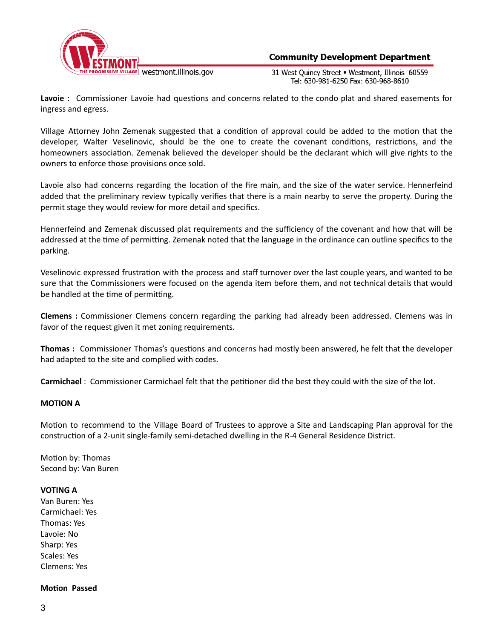

31 West Ouincy Street . Westmont, Illinois 60559 Tel: 630-981-6250 Fax: 630-968-8610

Lavoie : Commissioner Lavoie had questions and concerns related to the condo plat and shared easements for ingress and egress.

Village Attorney John Zemenak suggested that a condition of approval could be added to the motion that the developer, Walter Veselinovic, should be the one to create the covenant conditions, restrictions, and the homeowners association. Zemenak believed the developer should be the declarant which will give rights to the owners to enforce those provisions once sold.

Lavoie also had concerns regarding the location of the fire main, and the size of the water service. Hennerfeind added that the preliminary review typically verifies that there is a main nearby to serve the property. During the permit stage they would review for more detail and specifics.

Hennerfeind and Zemenak discussed plat requirements and the sufficiency of the covenant and how that will be addressed at the time of permitting. Zemenak noted that the language in the ordinance can outline specifics to the parking.

Veselinovic expressed frustration with the process and staff turnover over the last couple years, and wanted to be sure that the Commissioners were focused on the agenda item before them, and not technical details that would be handled at the time of permitting.

**Clemens :** Commissioner Clemens concern regarding the parking had already been addressed. Clemens was in favor of the request given it met zoning requirements.

**Thomas** : Commissioner Thomas's questions and concerns had mostly been answered, he felt that the developer had adapted to the site and complied with codes.

**Carmichael** : Commissioner Carmichael felt that the petitioner did the best they could with the size of the lot.

## **MOTION A**

Motion to recommend to the Village Board of Trustees to approve a Site and Landscaping Plan approval for the construction of a 2-unit single-family semi-detached dwelling in the R-4 General Residence District.

Motion by: Thomas Second by: Van Buren

#### **VOTING A**

Van Buren: Yes Carmichael: Yes Thomas: Yes Lavoie: No Sharp: Yes Scales: Yes Clemens: Yes

#### **Motion Passed**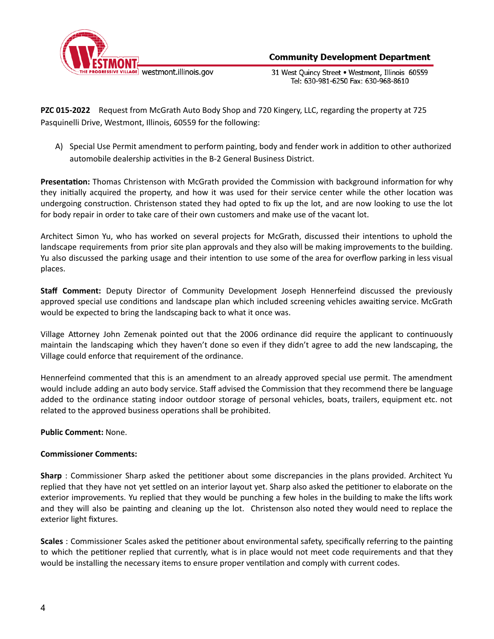

31 West Quincy Street . Westmont, Illinois 60559 Tel: 630-981-6250 Fax: 630-968-8610

**PZC 015-2022** Request from McGrath Auto Body Shop and 720 Kingery, LLC, regarding the property at 725 Pasquinelli Drive, Westmont, Illinois, 60559 for the following:

A) Special Use Permit amendment to perform painting, body and fender work in addition to other authorized automobile dealership activities in the B-2 General Business District.

Presentation: Thomas Christenson with McGrath provided the Commission with background information for why they initially acquired the property, and how it was used for their service center while the other location was undergoing construction. Christenson stated they had opted to fix up the lot, and are now looking to use the lot for body repair in order to take care of their own customers and make use of the vacant lot.

Architect Simon Yu, who has worked on several projects for McGrath, discussed their intentions to uphold the landscape requirements from prior site plan approvals and they also will be making improvements to the building. Yu also discussed the parking usage and their intention to use some of the area for overflow parking in less visual places.

**Staff Comment:** Deputy Director of Community Development Joseph Hennerfeind discussed the previously approved special use conditions and landscape plan which included screening vehicles awaiting service. McGrath would be expected to bring the landscaping back to what it once was.

Village Attorney John Zemenak pointed out that the 2006 ordinance did require the applicant to continuously maintain the landscaping which they haven't done so even if they didn't agree to add the new landscaping, the Village could enforce that requirement of the ordinance.

Hennerfeind commented that this is an amendment to an already approved special use permit. The amendment would include adding an auto body service. Staff advised the Commission that they recommend there be language added to the ordinance stating indoor outdoor storage of personal vehicles, boats, trailers, equipment etc. not related to the approved business operations shall be prohibited.

**Public Comment:** None.

## **Commissioner Comments:**

**Sharp** : Commissioner Sharp asked the petitioner about some discrepancies in the plans provided. Architect Yu replied that they have not yet settled on an interior layout yet. Sharp also asked the petitioner to elaborate on the exterior improvements. Yu replied that they would be punching a few holes in the building to make the lifts work and they will also be painting and cleaning up the lot. Christenson also noted they would need to replace the exterior light fixtures.

**Scales** : Commissioner Scales asked the petitioner about environmental safety, specifically referring to the painting to which the petitioner replied that currently, what is in place would not meet code requirements and that they would be installing the necessary items to ensure proper ventilation and comply with current codes.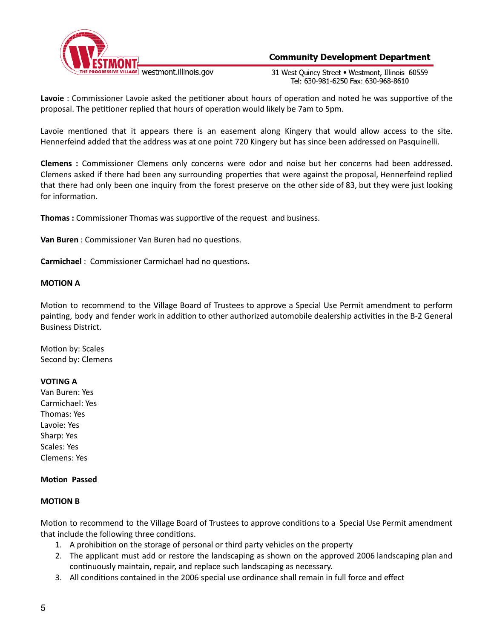

31 West Ouincy Street . Westmont, Illinois 60559 Tel: 630-981-6250 Fax: 630-968-8610

Lavoie : Commissioner Lavoie asked the petitioner about hours of operation and noted he was supportive of the proposal. The petitioner replied that hours of operation would likely be 7am to 5pm.

Lavoie mentioned that it appears there is an easement along Kingery that would allow access to the site. Hennerfeind added that the address was at one point 720 Kingery but has since been addressed on Pasquinelli.

**Clemens :** Commissioner Clemens only concerns were odor and noise but her concerns had been addressed. Clemens asked if there had been any surrounding properties that were against the proposal, Hennerfeind replied that there had only been one inquiry from the forest preserve on the other side of 83, but they were just looking for information.

**Thomas** : Commissioner Thomas was supportive of the request and business.

**Van Buren** : Commissioner Van Buren had no questions.

**Carmichael** : Commissioner Carmichael had no questions.

#### **MOTION A**

Motion to recommend to the Village Board of Trustees to approve a Special Use Permit amendment to perform painting, body and fender work in addition to other authorized automobile dealership activities in the B-2 General Business District.

Motion by: Scales Second by: Clemens

#### **VOTING A**

Van Buren: Yes Carmichael: Yes Thomas: Yes Lavoie: Yes Sharp: Yes Scales: Yes Clemens: Yes

#### **Motion Passed**

#### **MOTION B**

Motion to recommend to the Village Board of Trustees to approve conditions to a Special Use Permit amendment that include the following three conditions.

- 1. A prohibition on the storage of personal or third party vehicles on the property
- 2. The applicant must add or restore the landscaping as shown on the approved 2006 landscaping plan and continuously maintain, repair, and replace such landscaping as necessary.
- 3. All conditions contained in the 2006 special use ordinance shall remain in full force and effect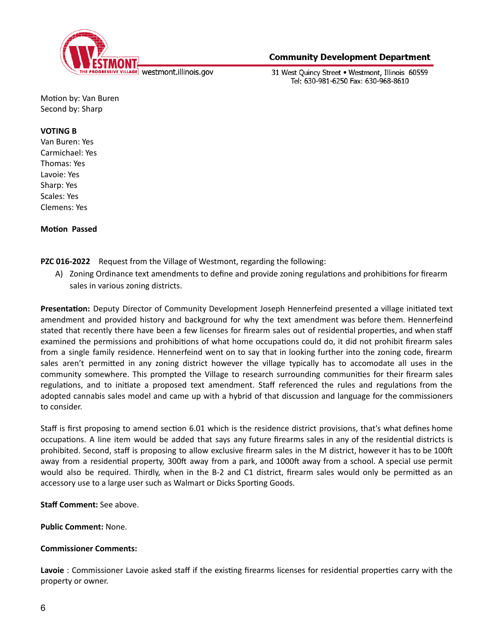

31 West Ouincy Street . Westmont, Illinois 60559 Tel: 630-981-6250 Fax: 630-968-8610

Motion by: Van Buren Second by: Sharp

### **VOTING B**

Van Buren: Yes Carmichael: Yes Thomas: Yes Lavoie: Yes Sharp: Yes Scales: Yes Clemens: Yes

**Motion Passed** 

## **PZC 016-2022** Request from the Village of Westmont, regarding the following:

A) Zoning Ordinance text amendments to define and provide zoning regulations and prohibitions for firearm sales in various zoning districts.

**Presentation:** Deputy Director of Community Development Joseph Hennerfeind presented a village initiated text amendment and provided history and background for why the text amendment was before them. Hennerfeind stated that recently there have been a few licenses for firearm sales out of residential properties, and when staff examined the permissions and prohibitions of what home occupations could do, it did not prohibit firearm sales from a single family residence. Hennerfeind went on to say that in looking further into the zoning code, firearm sales aren't permitted in any zoning district however the village typically has to accomodate all uses in the community somewhere. This prompted the Village to research surrounding communities for their firearm sales regulations, and to initiate a proposed text amendment. Staff referenced the rules and regulations from the adopted cannabis sales model and came up with a hybrid of that discussion and language for the commissioners to consider.

Staff is first proposing to amend section 6.01 which is the residence district provisions, that's what defines home occupations. A line item would be added that says any future firearms sales in any of the residential districts is prohibited. Second, staff is proposing to allow exclusive firearm sales in the M district, however it has to be 100 away from a residential property, 300ft away from a park, and 1000ft away from a school. A special use permit would also be required. Thirdly, when in the B-2 and C1 district, firearm sales would only be permitted as an accessory use to a large user such as Walmart or Dicks Sporting Goods.

**Staff Comment:** See above.

**Public Comment:** None.

## **Commissioner Comments:**

Lavoie : Commissioner Lavoie asked staff if the existing firearms licenses for residential properties carry with the property or owner.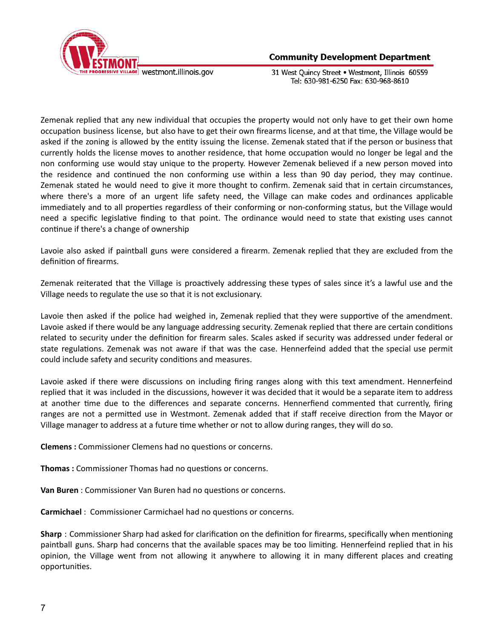

31 West Ouincy Street . Westmont, Illinois 60559 Tel: 630-981-6250 Fax: 630-968-8610

Zemenak replied that any new individual that occupies the property would not only have to get their own home occupation business license, but also have to get their own firearms license, and at that time, the Village would be asked if the zoning is allowed by the entity issuing the license. Zemenak stated that if the person or business that currently holds the license moves to another residence, that home occupation would no longer be legal and the non conforming use would stay unique to the property. However Zemenak believed if a new person moved into the residence and continued the non conforming use within a less than 90 day period, they may continue. Zemenak stated he would need to give it more thought to confirm. Zemenak said that in certain circumstances, where there's a more of an urgent life safety need, the Village can make codes and ordinances applicable immediately and to all properties regardless of their conforming or non-conforming status, but the Village would need a specific legislative finding to that point. The ordinance would need to state that existing uses cannot continue if there's a change of ownership

Lavoie also asked if paintball guns were considered a firearm. Zemenak replied that they are excluded from the definition of firearms.

Zemenak reiterated that the Village is proactively addressing these types of sales since it's a lawful use and the Village needs to regulate the use so that it is not exclusionary.

Lavoie then asked if the police had weighed in, Zemenak replied that they were supportive of the amendment. Lavoie asked if there would be any language addressing security. Zemenak replied that there are certain conditions related to security under the definition for firearm sales. Scales asked if security was addressed under federal or state regulations. Zemenak was not aware if that was the case. Hennerfeind added that the special use permit could include safety and security conditions and measures.

Lavoie asked if there were discussions on including firing ranges along with this text amendment. Hennerfeind replied that it was included in the discussions, however it was decided that it would be a separate item to address at another time due to the differences and separate concerns. Hennerfiend commented that currently, firing ranges are not a permitted use in Westmont. Zemenak added that if staff receive direction from the Mayor or Village manager to address at a future time whether or not to allow during ranges, they will do so.

**Clemens** : Commissioner Clemens had no questions or concerns.

**Thomas** : Commissioner Thomas had no questions or concerns.

**Van Buren** : Commissioner Van Buren had no questions or concerns.

**Carmichael** : Commissioner Carmichael had no questions or concerns.

**Sharp** : Commissioner Sharp had asked for clarification on the definition for firearms, specifically when mentioning paintball guns. Sharp had concerns that the available spaces may be too limiting. Hennerfeind replied that in his opinion, the Village went from not allowing it anywhere to allowing it in many different places and creating opportunities.